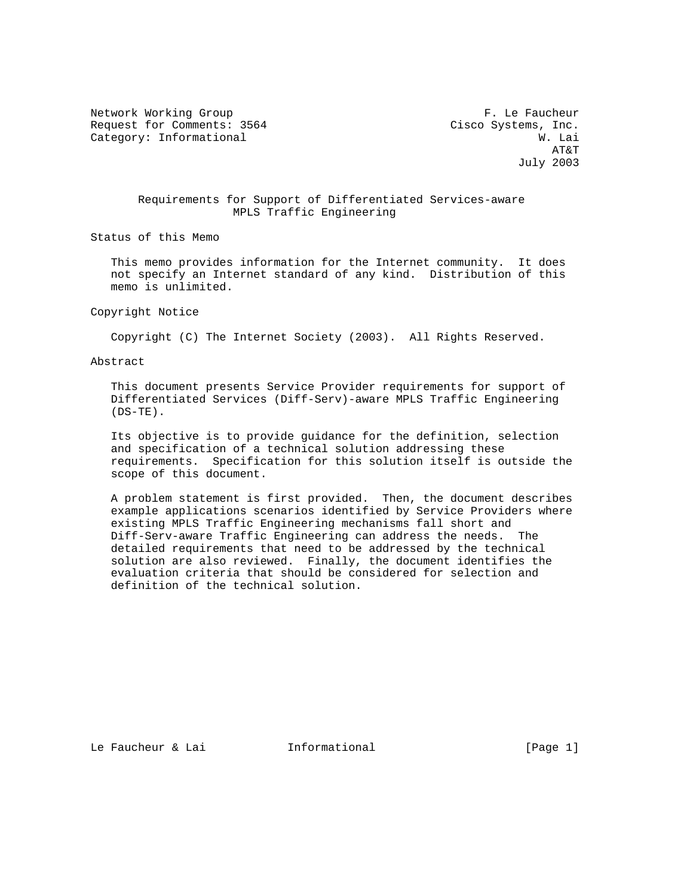Network Working Group F. Le Faucheur Request for Comments: 3564 Cisco Systems, Inc. Category: Informational W. Lai

 AT&T July 2003

### Requirements for Support of Differentiated Services-aware MPLS Traffic Engineering

Status of this Memo

 This memo provides information for the Internet community. It does not specify an Internet standard of any kind. Distribution of this memo is unlimited.

#### Copyright Notice

Copyright (C) The Internet Society (2003). All Rights Reserved.

Abstract

 This document presents Service Provider requirements for support of Differentiated Services (Diff-Serv)-aware MPLS Traffic Engineering  $(DS-TE)$ .

 Its objective is to provide guidance for the definition, selection and specification of a technical solution addressing these requirements. Specification for this solution itself is outside the scope of this document.

 A problem statement is first provided. Then, the document describes example applications scenarios identified by Service Providers where existing MPLS Traffic Engineering mechanisms fall short and Diff-Serv-aware Traffic Engineering can address the needs. The detailed requirements that need to be addressed by the technical solution are also reviewed. Finally, the document identifies the evaluation criteria that should be considered for selection and definition of the technical solution.

Le Faucheur & Lai **Informational** [Page 1]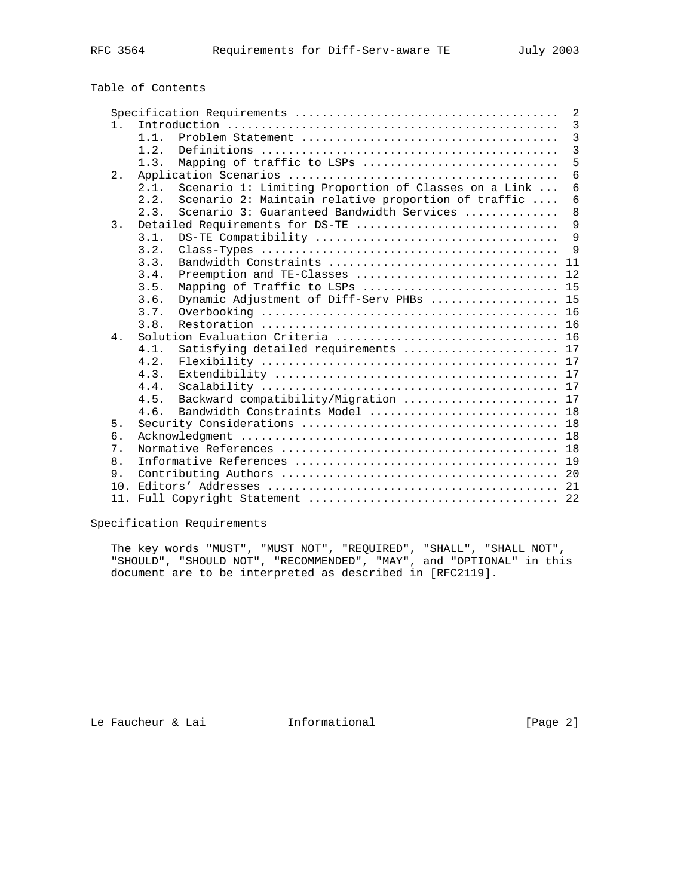# Table of Contents

|                |                                                              | 2               |
|----------------|--------------------------------------------------------------|-----------------|
| 1 <sub>1</sub> |                                                              | $\overline{3}$  |
|                | $1\quad1$                                                    | $\overline{3}$  |
|                | 1.2.                                                         | $\overline{3}$  |
|                | Mapping of traffic to LSPs<br>1.3.                           | 5               |
| $2$ .          |                                                              | 6               |
|                | Scenario 1: Limiting Proportion of Classes on a Link<br>2.1. | $\overline{6}$  |
|                | Scenario 2: Maintain relative proportion of traffic<br>2.2.  | $6\phantom{1}6$ |
|                | Scenario 3: Guaranteed Bandwidth Services<br>2.3.            | 8               |
| 3.             | Detailed Requirements for DS-TE                              | 9               |
|                | 3.1.                                                         | 9               |
|                | 3.2.                                                         | $\mathsf{Q}$    |
|                | 3.3.                                                         |                 |
|                | Preemption and TE-Classes  12<br>3.4.                        |                 |
|                | Mapping of Traffic to LSPs  15<br>3.5.                       |                 |
|                | Dynamic Adjustment of Diff-Serv PHBs  15<br>3.6.             |                 |
|                | 3.7.                                                         |                 |
|                | 3.8.                                                         |                 |
| 4.             |                                                              |                 |
|                | Satisfying detailed requirements  17<br>4.1.                 |                 |
|                | 4.2.                                                         |                 |
|                | 4.3.                                                         |                 |
|                | 4.4.                                                         |                 |
|                | Backward compatibility/Migration  17<br>4.5.                 |                 |
|                | Bandwidth Constraints Model  18<br>4.6.                      |                 |
| 5.             |                                                              |                 |
| б.             |                                                              |                 |
| 7.             |                                                              |                 |
| 8.             |                                                              |                 |
| 9.             |                                                              |                 |
| 10.            |                                                              |                 |
| 11.            |                                                              |                 |

Specification Requirements

 The key words "MUST", "MUST NOT", "REQUIRED", "SHALL", "SHALL NOT", "SHOULD", "SHOULD NOT", "RECOMMENDED", "MAY", and "OPTIONAL" in this document are to be interpreted as described in [RFC2119].

Le Faucheur & Lai **Informational Informational** [Page 2]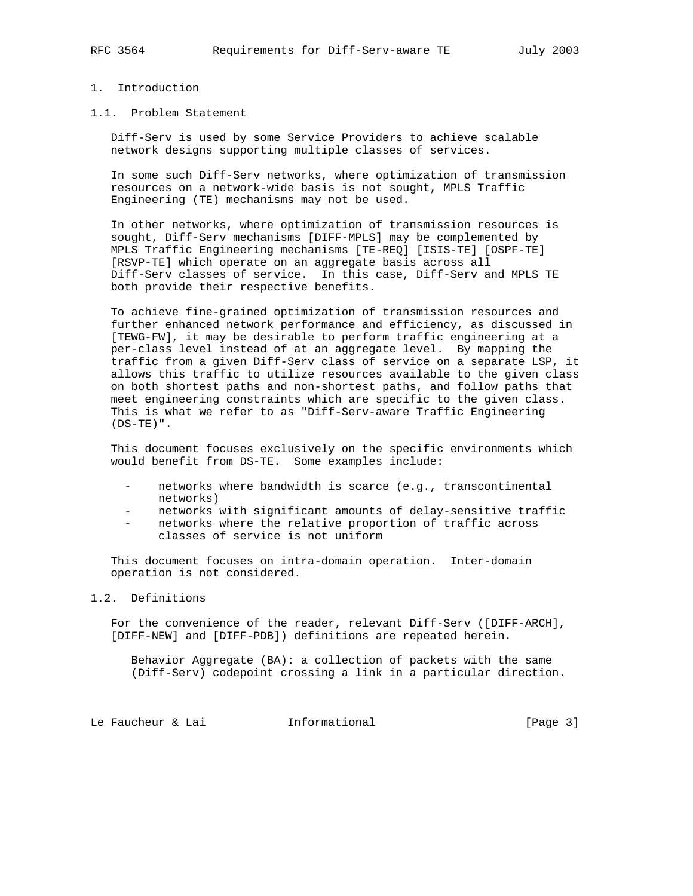## 1. Introduction

#### 1.1. Problem Statement

 Diff-Serv is used by some Service Providers to achieve scalable network designs supporting multiple classes of services.

 In some such Diff-Serv networks, where optimization of transmission resources on a network-wide basis is not sought, MPLS Traffic Engineering (TE) mechanisms may not be used.

 In other networks, where optimization of transmission resources is sought, Diff-Serv mechanisms [DIFF-MPLS] may be complemented by MPLS Traffic Engineering mechanisms [TE-REQ] [ISIS-TE] [OSPF-TE] [RSVP-TE] which operate on an aggregate basis across all Diff-Serv classes of service. In this case, Diff-Serv and MPLS TE both provide their respective benefits.

 To achieve fine-grained optimization of transmission resources and further enhanced network performance and efficiency, as discussed in [TEWG-FW], it may be desirable to perform traffic engineering at a per-class level instead of at an aggregate level. By mapping the traffic from a given Diff-Serv class of service on a separate LSP, it allows this traffic to utilize resources available to the given class on both shortest paths and non-shortest paths, and follow paths that meet engineering constraints which are specific to the given class. This is what we refer to as "Diff-Serv-aware Traffic Engineering  $(DS-TE)$ ".

 This document focuses exclusively on the specific environments which would benefit from DS-TE. Some examples include:

- networks where bandwidth is scarce (e.g., transcontinental networks)
- networks with significant amounts of delay-sensitive traffic
- networks where the relative proportion of traffic across classes of service is not uniform

 This document focuses on intra-domain operation. Inter-domain operation is not considered.

## 1.2. Definitions

 For the convenience of the reader, relevant Diff-Serv ([DIFF-ARCH], [DIFF-NEW] and [DIFF-PDB]) definitions are repeated herein.

 Behavior Aggregate (BA): a collection of packets with the same (Diff-Serv) codepoint crossing a link in a particular direction.

Le Faucheur & Lai **Informational** [Page 3]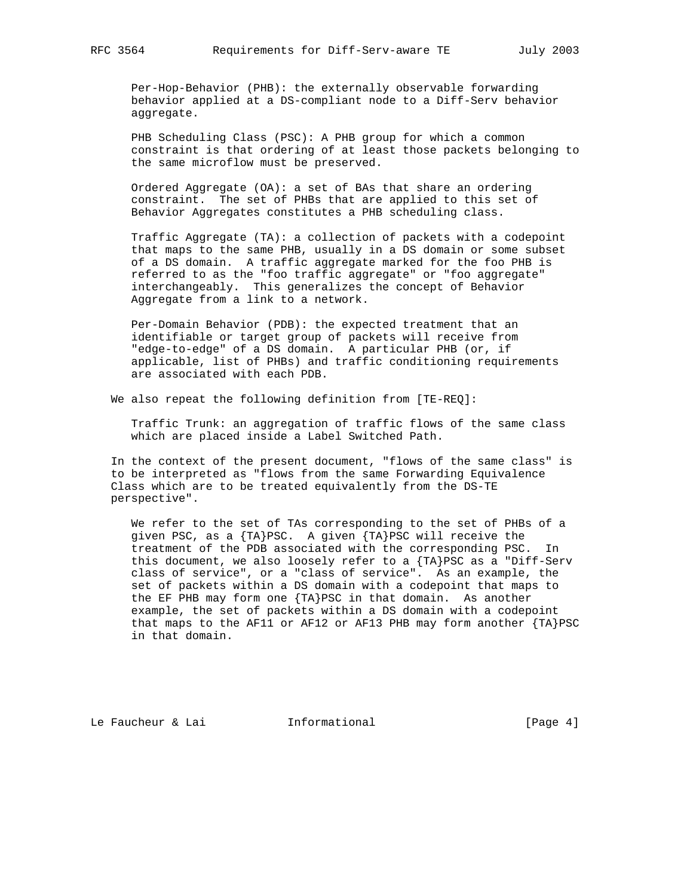Per-Hop-Behavior (PHB): the externally observable forwarding behavior applied at a DS-compliant node to a Diff-Serv behavior aggregate.

 PHB Scheduling Class (PSC): A PHB group for which a common constraint is that ordering of at least those packets belonging to the same microflow must be preserved.

 Ordered Aggregate (OA): a set of BAs that share an ordering constraint. The set of PHBs that are applied to this set of Behavior Aggregates constitutes a PHB scheduling class.

 Traffic Aggregate (TA): a collection of packets with a codepoint that maps to the same PHB, usually in a DS domain or some subset of a DS domain. A traffic aggregate marked for the foo PHB is referred to as the "foo traffic aggregate" or "foo aggregate" interchangeably. This generalizes the concept of Behavior Aggregate from a link to a network.

 Per-Domain Behavior (PDB): the expected treatment that an identifiable or target group of packets will receive from "edge-to-edge" of a DS domain. A particular PHB (or, if applicable, list of PHBs) and traffic conditioning requirements are associated with each PDB.

We also repeat the following definition from [TE-REQ]:

 Traffic Trunk: an aggregation of traffic flows of the same class which are placed inside a Label Switched Path.

 In the context of the present document, "flows of the same class" is to be interpreted as "flows from the same Forwarding Equivalence Class which are to be treated equivalently from the DS-TE perspective".

 We refer to the set of TAs corresponding to the set of PHBs of a given PSC, as a {TA}PSC. A given {TA}PSC will receive the treatment of the PDB associated with the corresponding PSC. In this document, we also loosely refer to a  $\{TA\}PSC$  as a "Diff-Serv class of service", or a "class of service". As an example, the set of packets within a DS domain with a codepoint that maps to the EF PHB may form one {TA}PSC in that domain. As another example, the set of packets within a DS domain with a codepoint that maps to the AF11 or AF12 or AF13 PHB may form another  $\{TA\}PSC$ in that domain.

Le Faucheur & Lai **Informational** [Page 4]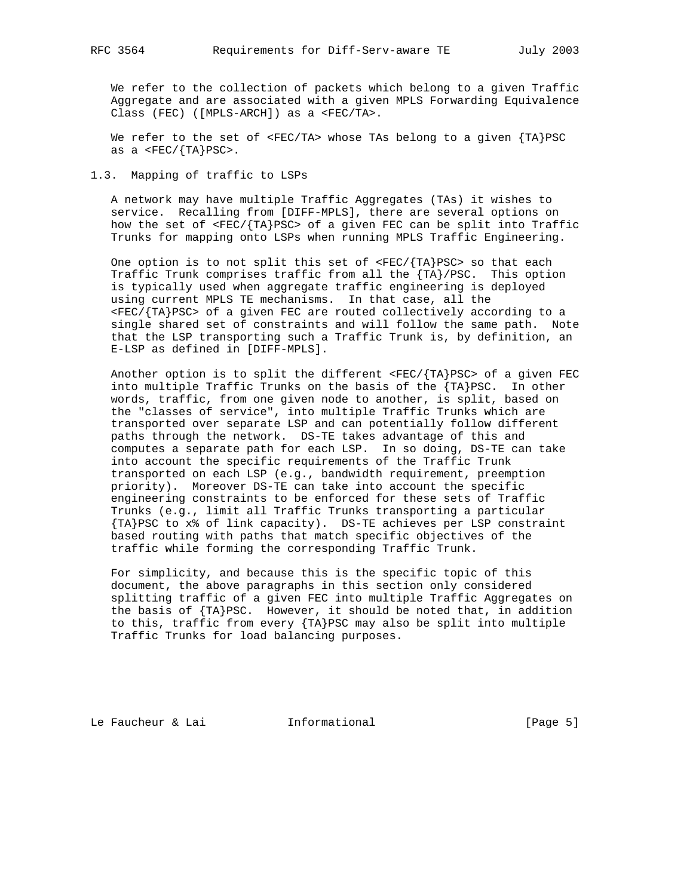We refer to the collection of packets which belong to a given Traffic Aggregate and are associated with a given MPLS Forwarding Equivalence Class (FEC) ([MPLS-ARCH]) as a <FEC/TA>.

We refer to the set of  $\langle FEC/TA \rangle$  whose TAs belong to a given  $\{TA\}PSC$ as a  $\langle FEC/ \{TA\}PSC \rangle$ .

1.3. Mapping of traffic to LSPs

 A network may have multiple Traffic Aggregates (TAs) it wishes to service. Recalling from [DIFF-MPLS], there are several options on how the set of <FEC/{TA}PSC> of a given FEC can be split into Traffic Trunks for mapping onto LSPs when running MPLS Traffic Engineering.

One option is to not split this set of  $\langle FEC/ \{TA\}PSC \rangle$  so that each Traffic Trunk comprises traffic from all the {TA}/PSC. This option is typically used when aggregate traffic engineering is deployed using current MPLS TE mechanisms. In that case, all the <FEC/{TA}PSC> of a given FEC are routed collectively according to a single shared set of constraints and will follow the same path. Note that the LSP transporting such a Traffic Trunk is, by definition, an E-LSP as defined in [DIFF-MPLS].

Another option is to split the different  $\langle FEC/ \{TA\} PSC \rangle$  of a given FEC into multiple Traffic Trunks on the basis of the {TA}PSC. In other words, traffic, from one given node to another, is split, based on the "classes of service", into multiple Traffic Trunks which are transported over separate LSP and can potentially follow different paths through the network. DS-TE takes advantage of this and computes a separate path for each LSP. In so doing, DS-TE can take into account the specific requirements of the Traffic Trunk transported on each LSP (e.g., bandwidth requirement, preemption priority). Moreover DS-TE can take into account the specific engineering constraints to be enforced for these sets of Traffic Trunks (e.g., limit all Traffic Trunks transporting a particular {TA}PSC to x% of link capacity). DS-TE achieves per LSP constraint based routing with paths that match specific objectives of the traffic while forming the corresponding Traffic Trunk.

 For simplicity, and because this is the specific topic of this document, the above paragraphs in this section only considered splitting traffic of a given FEC into multiple Traffic Aggregates on the basis of {TA}PSC. However, it should be noted that, in addition to this, traffic from every {TA}PSC may also be split into multiple Traffic Trunks for load balancing purposes.

Le Faucheur & Lai **Informational** [Page 5]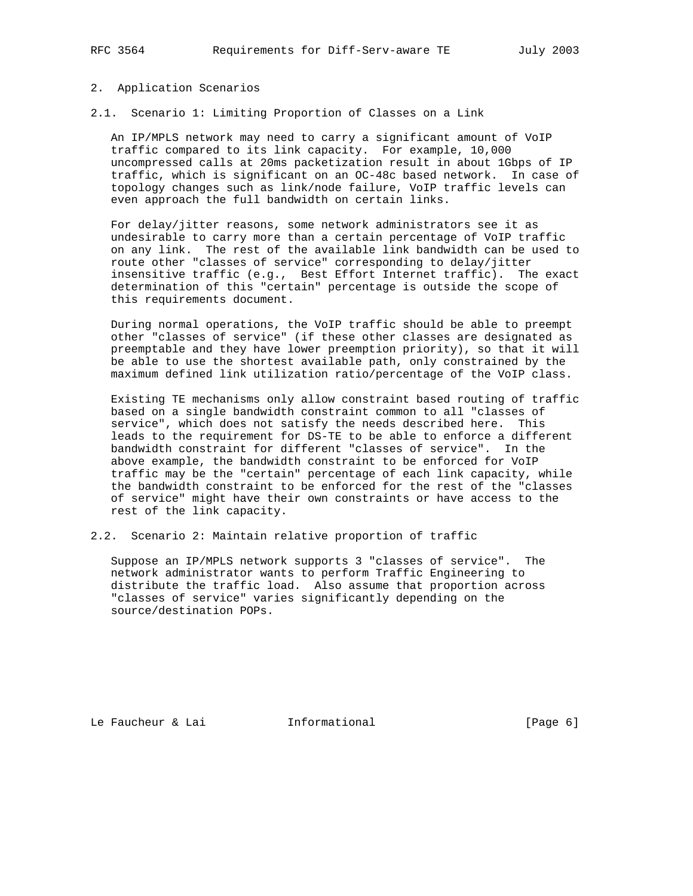#### 2. Application Scenarios

2.1. Scenario 1: Limiting Proportion of Classes on a Link

 An IP/MPLS network may need to carry a significant amount of VoIP traffic compared to its link capacity. For example, 10,000 uncompressed calls at 20ms packetization result in about 1Gbps of IP traffic, which is significant on an OC-48c based network. In case of topology changes such as link/node failure, VoIP traffic levels can even approach the full bandwidth on certain links.

 For delay/jitter reasons, some network administrators see it as undesirable to carry more than a certain percentage of VoIP traffic on any link. The rest of the available link bandwidth can be used to route other "classes of service" corresponding to delay/jitter insensitive traffic (e.g., Best Effort Internet traffic). The exact determination of this "certain" percentage is outside the scope of this requirements document.

 During normal operations, the VoIP traffic should be able to preempt other "classes of service" (if these other classes are designated as preemptable and they have lower preemption priority), so that it will be able to use the shortest available path, only constrained by the maximum defined link utilization ratio/percentage of the VoIP class.

 Existing TE mechanisms only allow constraint based routing of traffic based on a single bandwidth constraint common to all "classes of service", which does not satisfy the needs described here. This leads to the requirement for DS-TE to be able to enforce a different bandwidth constraint for different "classes of service". In the above example, the bandwidth constraint to be enforced for VoIP traffic may be the "certain" percentage of each link capacity, while the bandwidth constraint to be enforced for the rest of the "classes of service" might have their own constraints or have access to the rest of the link capacity.

2.2. Scenario 2: Maintain relative proportion of traffic

 Suppose an IP/MPLS network supports 3 "classes of service". The network administrator wants to perform Traffic Engineering to distribute the traffic load. Also assume that proportion across "classes of service" varies significantly depending on the source/destination POPs.

Le Faucheur & Lai **Informational** [Page 6]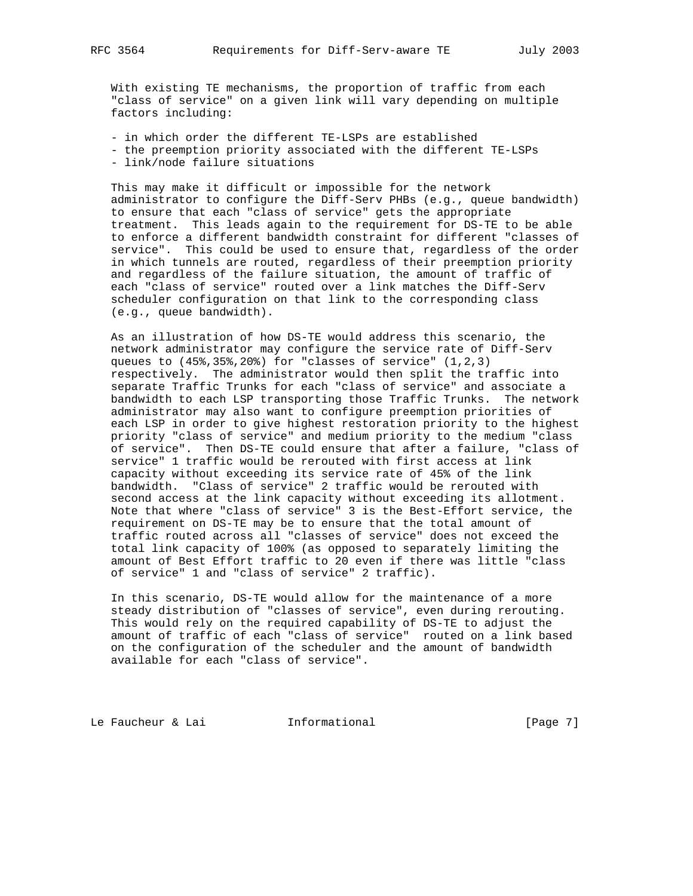With existing TE mechanisms, the proportion of traffic from each "class of service" on a given link will vary depending on multiple factors including:

 - in which order the different TE-LSPs are established - the preemption priority associated with the different TE-LSPs - link/node failure situations

 This may make it difficult or impossible for the network administrator to configure the Diff-Serv PHBs (e.g., queue bandwidth) to ensure that each "class of service" gets the appropriate treatment. This leads again to the requirement for DS-TE to be able to enforce a different bandwidth constraint for different "classes of service". This could be used to ensure that, regardless of the order in which tunnels are routed, regardless of their preemption priority and regardless of the failure situation, the amount of traffic of each "class of service" routed over a link matches the Diff-Serv scheduler configuration on that link to the corresponding class (e.g., queue bandwidth).

 As an illustration of how DS-TE would address this scenario, the network administrator may configure the service rate of Diff-Serv queues to  $(45*,35*,20*)$  for "classes of service"  $(1,2,3)$  respectively. The administrator would then split the traffic into separate Traffic Trunks for each "class of service" and associate a bandwidth to each LSP transporting those Traffic Trunks. The network administrator may also want to configure preemption priorities of each LSP in order to give highest restoration priority to the highest priority "class of service" and medium priority to the medium "class of service". Then DS-TE could ensure that after a failure, "class of service" 1 traffic would be rerouted with first access at link capacity without exceeding its service rate of 45% of the link bandwidth. "Class of service" 2 traffic would be rerouted with second access at the link capacity without exceeding its allotment. Note that where "class of service" 3 is the Best-Effort service, the requirement on DS-TE may be to ensure that the total amount of traffic routed across all "classes of service" does not exceed the total link capacity of 100% (as opposed to separately limiting the amount of Best Effort traffic to 20 even if there was little "class of service" 1 and "class of service" 2 traffic).

 In this scenario, DS-TE would allow for the maintenance of a more steady distribution of "classes of service", even during rerouting. This would rely on the required capability of DS-TE to adjust the amount of traffic of each "class of service" routed on a link based on the configuration of the scheduler and the amount of bandwidth available for each "class of service".

Le Faucheur & Lai **Informational** [Page 7]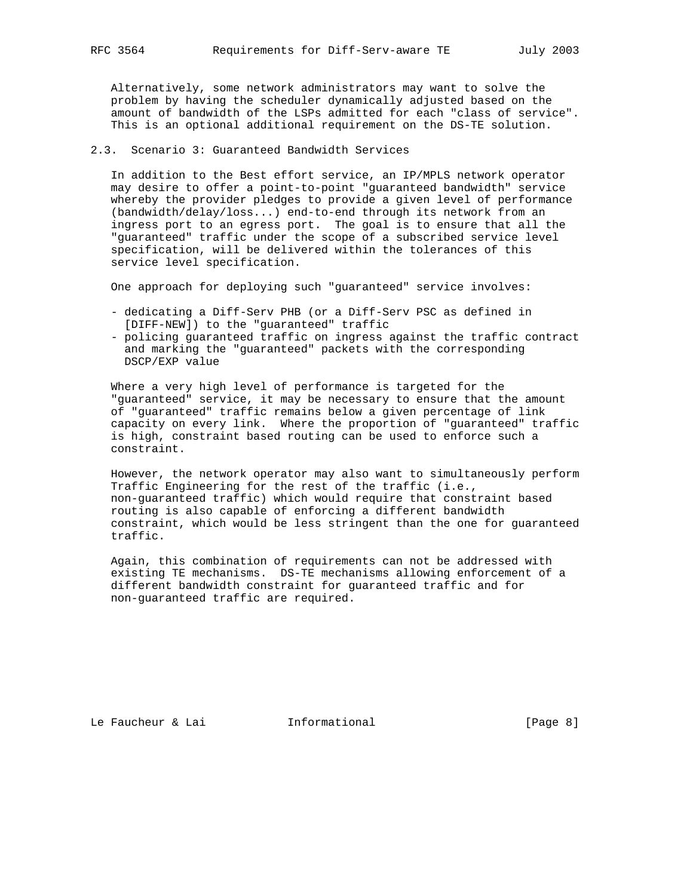Alternatively, some network administrators may want to solve the problem by having the scheduler dynamically adjusted based on the amount of bandwidth of the LSPs admitted for each "class of service". This is an optional additional requirement on the DS-TE solution.

#### 2.3. Scenario 3: Guaranteed Bandwidth Services

 In addition to the Best effort service, an IP/MPLS network operator may desire to offer a point-to-point "guaranteed bandwidth" service whereby the provider pledges to provide a given level of performance (bandwidth/delay/loss...) end-to-end through its network from an ingress port to an egress port. The goal is to ensure that all the "guaranteed" traffic under the scope of a subscribed service level specification, will be delivered within the tolerances of this service level specification.

One approach for deploying such "guaranteed" service involves:

- dedicating a Diff-Serv PHB (or a Diff-Serv PSC as defined in [DIFF-NEW]) to the "guaranteed" traffic
- policing guaranteed traffic on ingress against the traffic contract and marking the "guaranteed" packets with the corresponding DSCP/EXP value

 Where a very high level of performance is targeted for the "guaranteed" service, it may be necessary to ensure that the amount of "guaranteed" traffic remains below a given percentage of link capacity on every link. Where the proportion of "guaranteed" traffic is high, constraint based routing can be used to enforce such a constraint.

 However, the network operator may also want to simultaneously perform Traffic Engineering for the rest of the traffic (i.e., non-guaranteed traffic) which would require that constraint based routing is also capable of enforcing a different bandwidth constraint, which would be less stringent than the one for guaranteed traffic.

 Again, this combination of requirements can not be addressed with existing TE mechanisms. DS-TE mechanisms allowing enforcement of a different bandwidth constraint for guaranteed traffic and for non-guaranteed traffic are required.

Le Faucheur & Lai **Informational** [Page 8]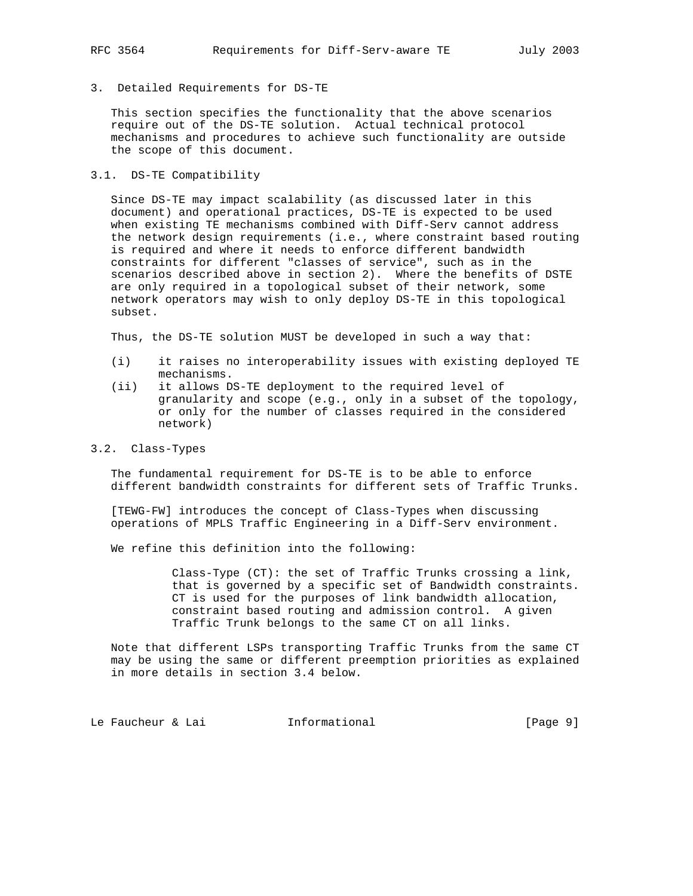#### 3. Detailed Requirements for DS-TE

 This section specifies the functionality that the above scenarios require out of the DS-TE solution. Actual technical protocol mechanisms and procedures to achieve such functionality are outside the scope of this document.

#### 3.1. DS-TE Compatibility

 Since DS-TE may impact scalability (as discussed later in this document) and operational practices, DS-TE is expected to be used when existing TE mechanisms combined with Diff-Serv cannot address the network design requirements (i.e., where constraint based routing is required and where it needs to enforce different bandwidth constraints for different "classes of service", such as in the scenarios described above in section 2). Where the benefits of DSTE are only required in a topological subset of their network, some network operators may wish to only deploy DS-TE in this topological subset.

Thus, the DS-TE solution MUST be developed in such a way that:

- (i) it raises no interoperability issues with existing deployed TE mechanisms.
- (ii) it allows DS-TE deployment to the required level of granularity and scope (e.g., only in a subset of the topology, or only for the number of classes required in the considered network)

#### 3.2. Class-Types

 The fundamental requirement for DS-TE is to be able to enforce different bandwidth constraints for different sets of Traffic Trunks.

 [TEWG-FW] introduces the concept of Class-Types when discussing operations of MPLS Traffic Engineering in a Diff-Serv environment.

We refine this definition into the following:

 Class-Type (CT): the set of Traffic Trunks crossing a link, that is governed by a specific set of Bandwidth constraints. CT is used for the purposes of link bandwidth allocation, constraint based routing and admission control. A given Traffic Trunk belongs to the same CT on all links.

 Note that different LSPs transporting Traffic Trunks from the same CT may be using the same or different preemption priorities as explained in more details in section 3.4 below.

Le Faucheur & Lai **Informational** (Page 9)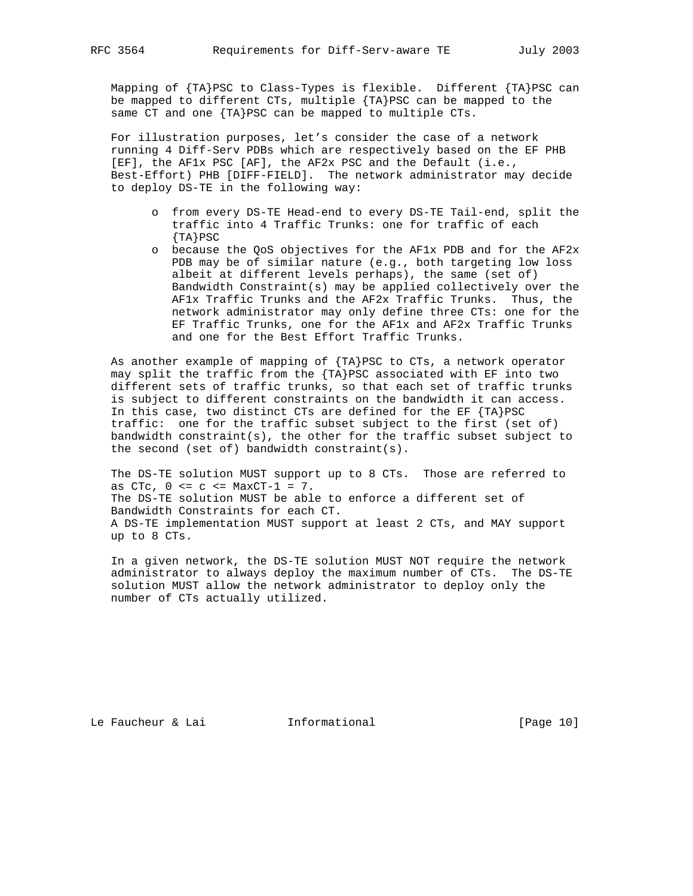Mapping of {TA}PSC to Class-Types is flexible. Different {TA}PSC can be mapped to different CTs, multiple {TA}PSC can be mapped to the same CT and one {TA}PSC can be mapped to multiple CTs.

 For illustration purposes, let's consider the case of a network running 4 Diff-Serv PDBs which are respectively based on the EF PHB [EF], the AF1x PSC [AF], the AF2x PSC and the Default (i.e., Best-Effort) PHB [DIFF-FIELD]. The network administrator may decide to deploy DS-TE in the following way:

- o from every DS-TE Head-end to every DS-TE Tail-end, split the traffic into 4 Traffic Trunks: one for traffic of each  ${T_A}PSC$
- o because the QoS objectives for the AF1x PDB and for the AF2x PDB may be of similar nature (e.g., both targeting low loss albeit at different levels perhaps), the same (set of) Bandwidth Constraint(s) may be applied collectively over the AF1x Traffic Trunks and the AF2x Traffic Trunks. Thus, the network administrator may only define three CTs: one for the EF Traffic Trunks, one for the AF1x and AF2x Traffic Trunks and one for the Best Effort Traffic Trunks.

 As another example of mapping of {TA}PSC to CTs, a network operator may split the traffic from the {TA}PSC associated with EF into two different sets of traffic trunks, so that each set of traffic trunks is subject to different constraints on the bandwidth it can access. In this case, two distinct CTs are defined for the EF {TA}PSC traffic: one for the traffic subset subject to the first (set of) bandwidth constraint(s), the other for the traffic subset subject to the second (set of) bandwidth constraint(s).

 The DS-TE solution MUST support up to 8 CTs. Those are referred to as  $CTc$ ,  $0 \leq c \leq \text{MaxCT}-1 = 7$ . The DS-TE solution MUST be able to enforce a different set of Bandwidth Constraints for each CT. A DS-TE implementation MUST support at least 2 CTs, and MAY support up to 8 CTs.

 In a given network, the DS-TE solution MUST NOT require the network administrator to always deploy the maximum number of CTs. The DS-TE solution MUST allow the network administrator to deploy only the number of CTs actually utilized.

Le Faucheur & Lai **Informational** [Page 10]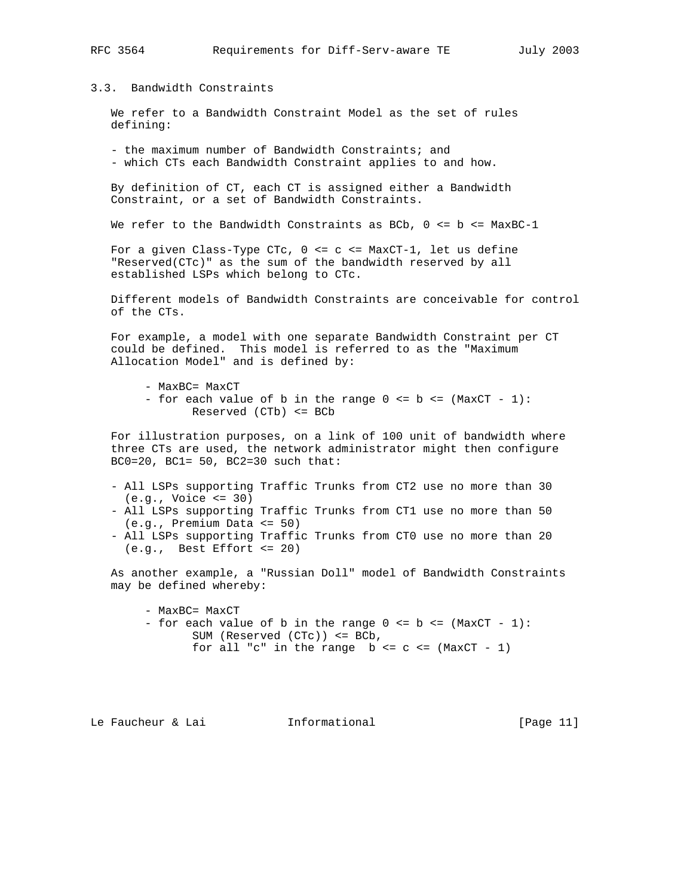## 3.3. Bandwidth Constraints

 We refer to a Bandwidth Constraint Model as the set of rules defining:

 - the maximum number of Bandwidth Constraints; and - which CTs each Bandwidth Constraint applies to and how.

 By definition of CT, each CT is assigned either a Bandwidth Constraint, or a set of Bandwidth Constraints.

We refer to the Bandwidth Constraints as BCb,  $0 \le b \le M$  MaxBC-1

For a given Class-Type CTc,  $0 \leq c \leq \text{MaxCT-1}$ , let us define "Reserved(CTc)" as the sum of the bandwidth reserved by all established LSPs which belong to CTc.

 Different models of Bandwidth Constraints are conceivable for control of the CTs.

 For example, a model with one separate Bandwidth Constraint per CT could be defined. This model is referred to as the "Maximum Allocation Model" and is defined by:

- MaxBC= MaxCT
- for each value of b in the range  $0 \le b \le (MaxCT 1)$ : Reserved (CTb) <= BCb

 For illustration purposes, on a link of 100 unit of bandwidth where three CTs are used, the network administrator might then configure BC0=20, BC1= 50, BC2=30 such that:

- All LSPs supporting Traffic Trunks from CT2 use no more than 30 (e.g., Voice <= 30)
- All LSPs supporting Traffic Trunks from CT1 use no more than 50 (e.g., Premium Data <= 50)
- All LSPs supporting Traffic Trunks from CT0 use no more than 20 (e.g., Best Effort <= 20)

 As another example, a "Russian Doll" model of Bandwidth Constraints may be defined whereby:

 - MaxBC= MaxCT - for each value of b in the range  $0 \le b \le (MaxCT - 1)$ : SUM (Reserved (CTc)) <= BCb, for all "c" in the range  $b \leq c \leq (MaxCT - 1)$ 

Le Faucheur & Lai **Informational** [Page 11]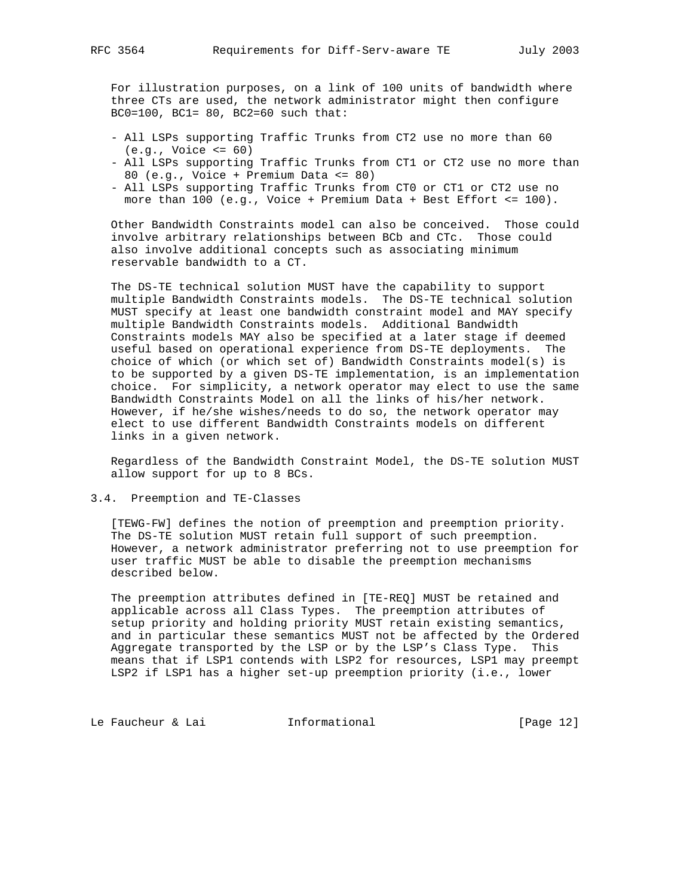For illustration purposes, on a link of 100 units of bandwidth where three CTs are used, the network administrator might then configure BC0=100, BC1= 80, BC2=60 such that:

- All LSPs supporting Traffic Trunks from CT2 use no more than 60 (e.g., Voice <= 60)
- All LSPs supporting Traffic Trunks from CT1 or CT2 use no more than 80 (e.g., Voice + Premium Data <= 80)
- All LSPs supporting Traffic Trunks from CT0 or CT1 or CT2 use no more than 100 (e.g., Voice + Premium Data + Best Effort <= 100).

 Other Bandwidth Constraints model can also be conceived. Those could involve arbitrary relationships between BCb and CTc. Those could also involve additional concepts such as associating minimum reservable bandwidth to a CT.

 The DS-TE technical solution MUST have the capability to support multiple Bandwidth Constraints models. The DS-TE technical solution MUST specify at least one bandwidth constraint model and MAY specify multiple Bandwidth Constraints models. Additional Bandwidth Constraints models MAY also be specified at a later stage if deemed useful based on operational experience from DS-TE deployments. The choice of which (or which set of) Bandwidth Constraints model(s) is to be supported by a given DS-TE implementation, is an implementation choice. For simplicity, a network operator may elect to use the same Bandwidth Constraints Model on all the links of his/her network. However, if he/she wishes/needs to do so, the network operator may elect to use different Bandwidth Constraints models on different links in a given network.

 Regardless of the Bandwidth Constraint Model, the DS-TE solution MUST allow support for up to 8 BCs.

3.4. Preemption and TE-Classes

 [TEWG-FW] defines the notion of preemption and preemption priority. The DS-TE solution MUST retain full support of such preemption. However, a network administrator preferring not to use preemption for user traffic MUST be able to disable the preemption mechanisms described below.

 The preemption attributes defined in [TE-REQ] MUST be retained and applicable across all Class Types. The preemption attributes of setup priority and holding priority MUST retain existing semantics, and in particular these semantics MUST not be affected by the Ordered Aggregate transported by the LSP or by the LSP's Class Type. This means that if LSP1 contends with LSP2 for resources, LSP1 may preempt LSP2 if LSP1 has a higher set-up preemption priority (i.e., lower

Le Faucheur & Lai **Informational** [Page 12]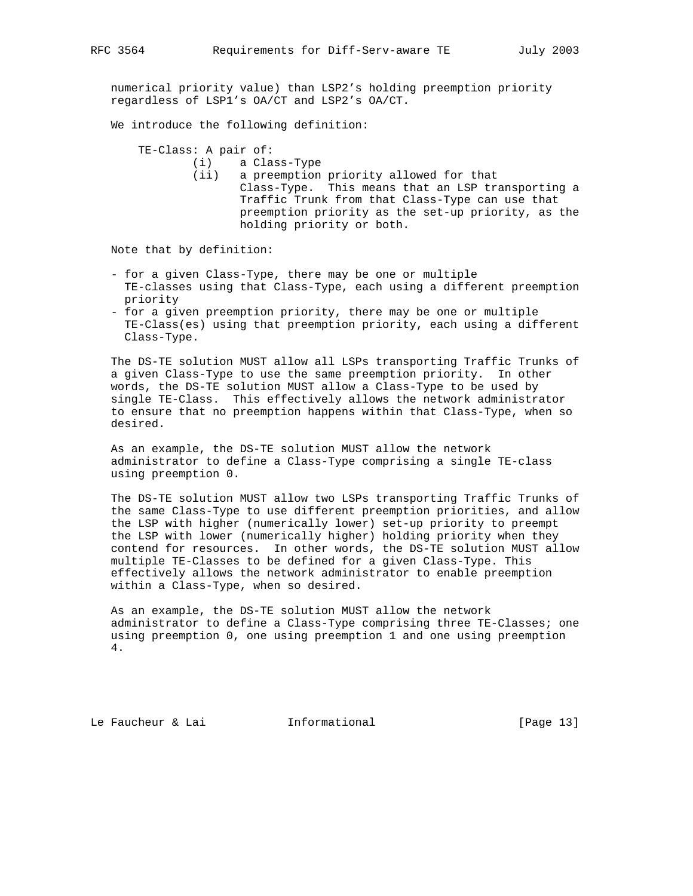numerical priority value) than LSP2's holding preemption priority regardless of LSP1's OA/CT and LSP2's OA/CT.

We introduce the following definition:

TE-Class: A pair of:

(i) a Class-Type

 (ii) a preemption priority allowed for that Class-Type. This means that an LSP transporting a Traffic Trunk from that Class-Type can use that preemption priority as the set-up priority, as the holding priority or both.

Note that by definition:

- for a given Class-Type, there may be one or multiple TE-classes using that Class-Type, each using a different preemption priority
- for a given preemption priority, there may be one or multiple TE-Class(es) using that preemption priority, each using a different Class-Type.

 The DS-TE solution MUST allow all LSPs transporting Traffic Trunks of a given Class-Type to use the same preemption priority. In other words, the DS-TE solution MUST allow a Class-Type to be used by single TE-Class. This effectively allows the network administrator to ensure that no preemption happens within that Class-Type, when so desired.

 As an example, the DS-TE solution MUST allow the network administrator to define a Class-Type comprising a single TE-class using preemption 0.

 The DS-TE solution MUST allow two LSPs transporting Traffic Trunks of the same Class-Type to use different preemption priorities, and allow the LSP with higher (numerically lower) set-up priority to preempt the LSP with lower (numerically higher) holding priority when they contend for resources. In other words, the DS-TE solution MUST allow multiple TE-Classes to be defined for a given Class-Type. This effectively allows the network administrator to enable preemption within a Class-Type, when so desired.

 As an example, the DS-TE solution MUST allow the network administrator to define a Class-Type comprising three TE-Classes; one using preemption 0, one using preemption 1 and one using preemption 4.

Le Faucheur & Lai **Informational** [Page 13]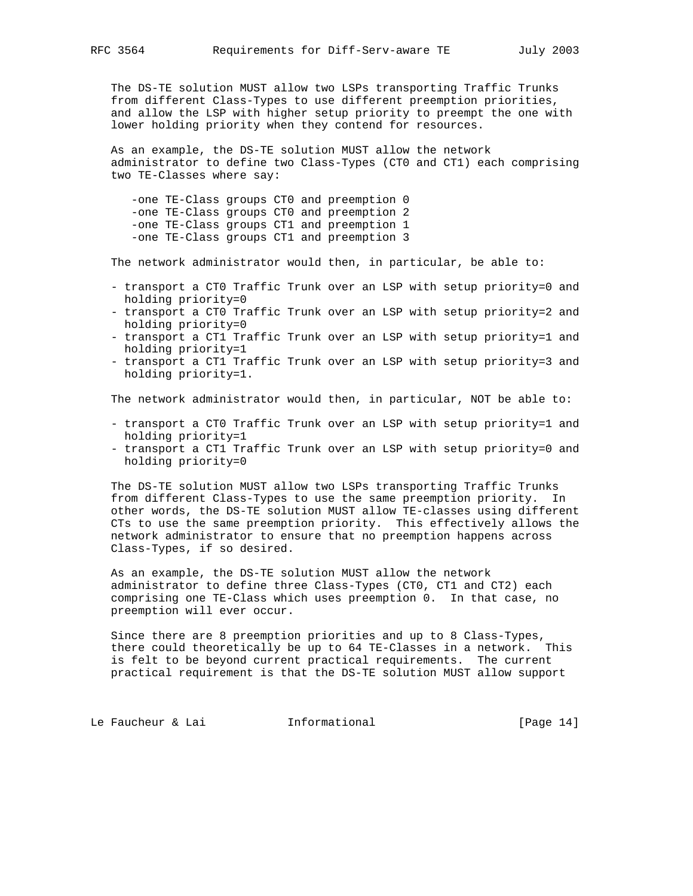The DS-TE solution MUST allow two LSPs transporting Traffic Trunks from different Class-Types to use different preemption priorities, and allow the LSP with higher setup priority to preempt the one with lower holding priority when they contend for resources.

 As an example, the DS-TE solution MUST allow the network administrator to define two Class-Types (CT0 and CT1) each comprising two TE-Classes where say:

 -one TE-Class groups CT0 and preemption 0 -one TE-Class groups CT0 and preemption 2 -one TE-Class groups CT1 and preemption 1 -one TE-Class groups CT1 and preemption 3

The network administrator would then, in particular, be able to:

- transport a CT0 Traffic Trunk over an LSP with setup priority=0 and holding priority=0
- transport a CT0 Traffic Trunk over an LSP with setup priority=2 and holding priority=0
- transport a CT1 Traffic Trunk over an LSP with setup priority=1 and holding priority=1
- transport a CT1 Traffic Trunk over an LSP with setup priority=3 and holding priority=1.

The network administrator would then, in particular, NOT be able to:

- transport a CT0 Traffic Trunk over an LSP with setup priority=1 and holding priority=1
- transport a CT1 Traffic Trunk over an LSP with setup priority=0 and holding priority=0

 The DS-TE solution MUST allow two LSPs transporting Traffic Trunks from different Class-Types to use the same preemption priority. In other words, the DS-TE solution MUST allow TE-classes using different CTs to use the same preemption priority. This effectively allows the network administrator to ensure that no preemption happens across Class-Types, if so desired.

 As an example, the DS-TE solution MUST allow the network administrator to define three Class-Types (CT0, CT1 and CT2) each comprising one TE-Class which uses preemption 0. In that case, no preemption will ever occur.

 Since there are 8 preemption priorities and up to 8 Class-Types, there could theoretically be up to 64 TE-Classes in a network. This is felt to be beyond current practical requirements. The current practical requirement is that the DS-TE solution MUST allow support

Le Faucheur & Lai **Informational** [Page 14]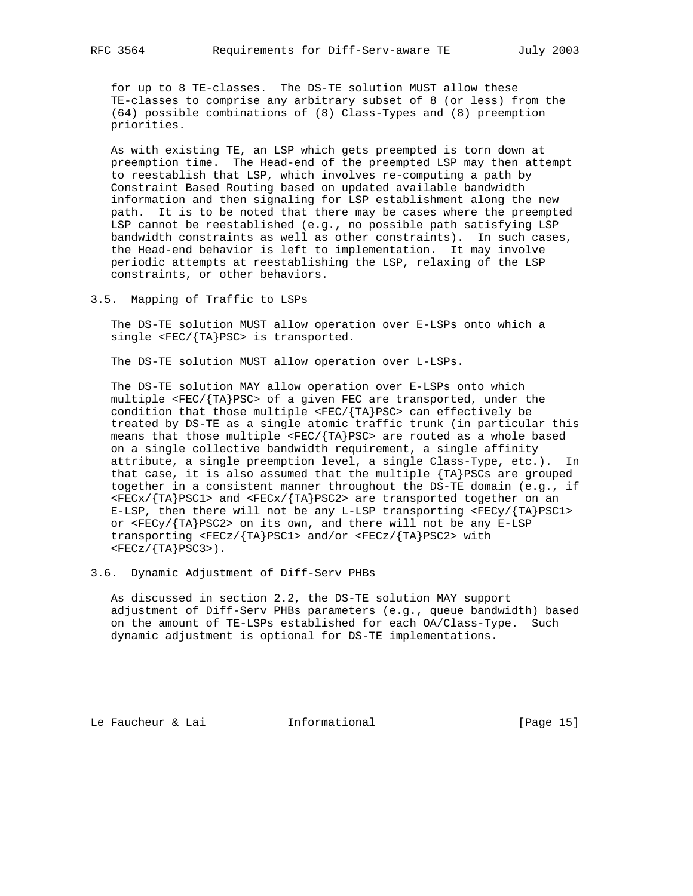for up to 8 TE-classes. The DS-TE solution MUST allow these TE-classes to comprise any arbitrary subset of 8 (or less) from the (64) possible combinations of (8) Class-Types and (8) preemption priorities.

 As with existing TE, an LSP which gets preempted is torn down at preemption time. The Head-end of the preempted LSP may then attempt to reestablish that LSP, which involves re-computing a path by Constraint Based Routing based on updated available bandwidth information and then signaling for LSP establishment along the new path. It is to be noted that there may be cases where the preempted LSP cannot be reestablished (e.g., no possible path satisfying LSP bandwidth constraints as well as other constraints). In such cases, the Head-end behavior is left to implementation. It may involve periodic attempts at reestablishing the LSP, relaxing of the LSP constraints, or other behaviors.

3.5. Mapping of Traffic to LSPs

 The DS-TE solution MUST allow operation over E-LSPs onto which a single <FEC/{TA}PSC> is transported.

The DS-TE solution MUST allow operation over L-LSPs.

 The DS-TE solution MAY allow operation over E-LSPs onto which multiple <FEC/{TA}PSC> of a given FEC are transported, under the condition that those multiple  $\langle FEC/ \{TA\}PSC \rangle$  can effectively be treated by DS-TE as a single atomic traffic trunk (in particular this means that those multiple <FEC/{TA}PSC> are routed as a whole based on a single collective bandwidth requirement, a single affinity attribute, a single preemption level, a single Class-Type, etc.). In that case, it is also assumed that the multiple {TA}PSCs are grouped together in a consistent manner throughout the DS-TE domain (e.g., if  $\langle FECX/ \{TA\} PSC1 \rangle$  and  $\langle FECX/ \{TA\} P SC2 \rangle$  are transported together on an E-LSP, then there will not be any L-LSP transporting  $\langle FECY / \{TA\} PSC1 \rangle$  or <FECy/{TA}PSC2> on its own, and there will not be any E-LSP transporting <FECz/{TA}PSC1> and/or <FECz/{TA}PSC2> with  $<$ FECz/ $\{TA\}PSC3$ >).

3.6. Dynamic Adjustment of Diff-Serv PHBs

 As discussed in section 2.2, the DS-TE solution MAY support adjustment of Diff-Serv PHBs parameters (e.g., queue bandwidth) based on the amount of TE-LSPs established for each OA/Class-Type. Such dynamic adjustment is optional for DS-TE implementations.

Le Faucheur & Lai **Informational** [Page 15]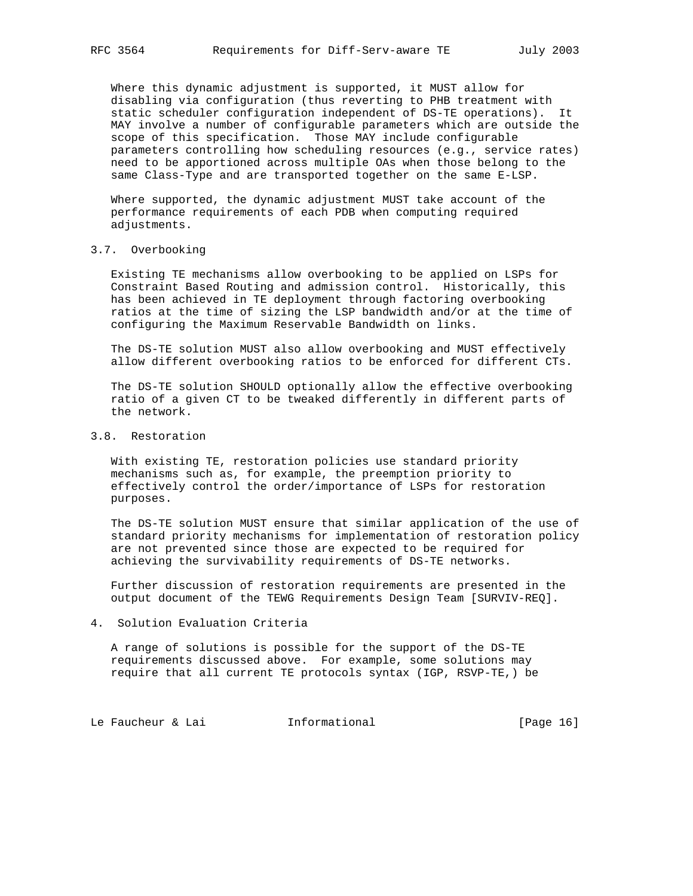Where this dynamic adjustment is supported, it MUST allow for disabling via configuration (thus reverting to PHB treatment with static scheduler configuration independent of DS-TE operations). It MAY involve a number of configurable parameters which are outside the scope of this specification. Those MAY include configurable parameters controlling how scheduling resources (e.g., service rates) need to be apportioned across multiple OAs when those belong to the same Class-Type and are transported together on the same E-LSP.

 Where supported, the dynamic adjustment MUST take account of the performance requirements of each PDB when computing required adjustments.

## 3.7. Overbooking

 Existing TE mechanisms allow overbooking to be applied on LSPs for Constraint Based Routing and admission control. Historically, this has been achieved in TE deployment through factoring overbooking ratios at the time of sizing the LSP bandwidth and/or at the time of configuring the Maximum Reservable Bandwidth on links.

 The DS-TE solution MUST also allow overbooking and MUST effectively allow different overbooking ratios to be enforced for different CTs.

 The DS-TE solution SHOULD optionally allow the effective overbooking ratio of a given CT to be tweaked differently in different parts of the network.

## 3.8. Restoration

 With existing TE, restoration policies use standard priority mechanisms such as, for example, the preemption priority to effectively control the order/importance of LSPs for restoration purposes.

 The DS-TE solution MUST ensure that similar application of the use of standard priority mechanisms for implementation of restoration policy are not prevented since those are expected to be required for achieving the survivability requirements of DS-TE networks.

 Further discussion of restoration requirements are presented in the output document of the TEWG Requirements Design Team [SURVIV-REQ].

4. Solution Evaluation Criteria

 A range of solutions is possible for the support of the DS-TE requirements discussed above. For example, some solutions may require that all current TE protocols syntax (IGP, RSVP-TE,) be

Le Faucheur & Lai **Informational** [Page 16]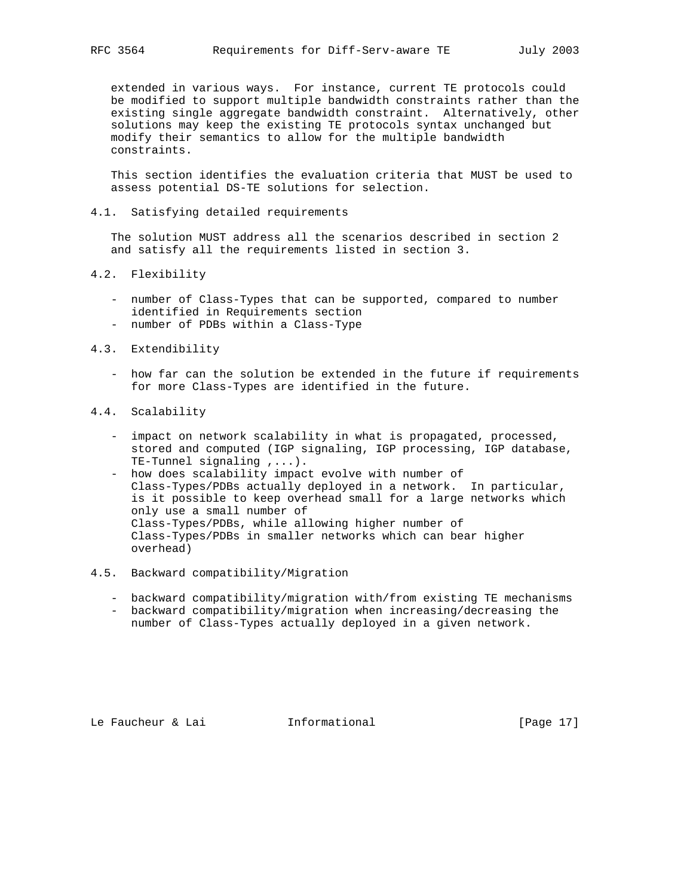extended in various ways. For instance, current TE protocols could be modified to support multiple bandwidth constraints rather than the existing single aggregate bandwidth constraint. Alternatively, other solutions may keep the existing TE protocols syntax unchanged but modify their semantics to allow for the multiple bandwidth constraints.

 This section identifies the evaluation criteria that MUST be used to assess potential DS-TE solutions for selection.

4.1. Satisfying detailed requirements

 The solution MUST address all the scenarios described in section 2 and satisfy all the requirements listed in section 3.

- 4.2. Flexibility
	- number of Class-Types that can be supported, compared to number identified in Requirements section
	- number of PDBs within a Class-Type

#### 4.3. Extendibility

 - how far can the solution be extended in the future if requirements for more Class-Types are identified in the future.

## 4.4. Scalability

- impact on network scalability in what is propagated, processed, stored and computed (IGP signaling, IGP processing, IGP database, TE-Tunnel signaling ,...).
- how does scalability impact evolve with number of Class-Types/PDBs actually deployed in a network. In particular, is it possible to keep overhead small for a large networks which only use a small number of Class-Types/PDBs, while allowing higher number of Class-Types/PDBs in smaller networks which can bear higher overhead)

#### 4.5. Backward compatibility/Migration

- backward compatibility/migration with/from existing TE mechanisms
- backward compatibility/migration when increasing/decreasing the number of Class-Types actually deployed in a given network.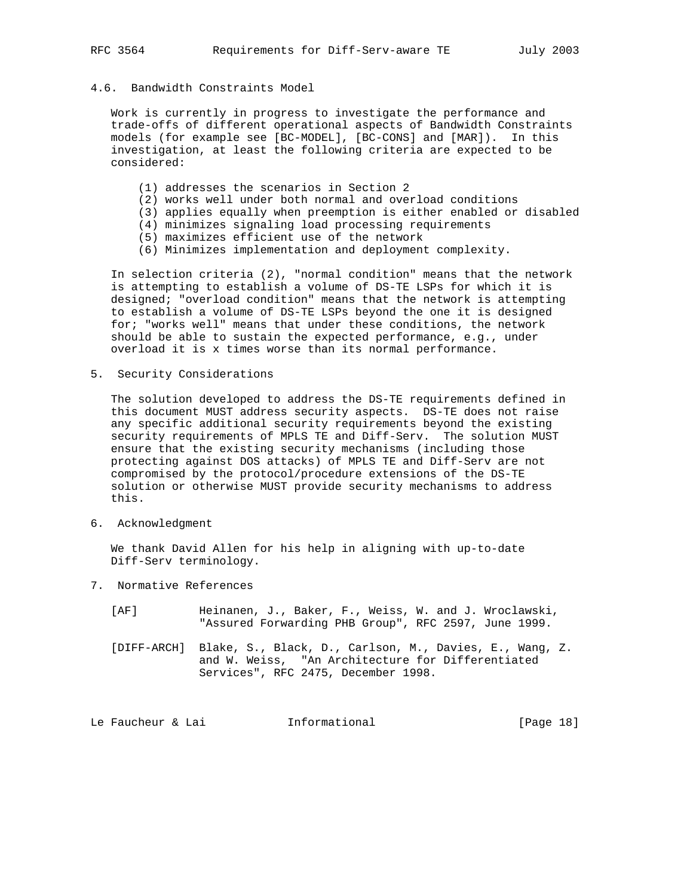## 4.6. Bandwidth Constraints Model

 Work is currently in progress to investigate the performance and trade-offs of different operational aspects of Bandwidth Constraints models (for example see [BC-MODEL], [BC-CONS] and [MAR]). In this investigation, at least the following criteria are expected to be considered:

- (1) addresses the scenarios in Section 2
- (2) works well under both normal and overload conditions
- (3) applies equally when preemption is either enabled or disabled
- (4) minimizes signaling load processing requirements
- (5) maximizes efficient use of the network
- (6) Minimizes implementation and deployment complexity.

 In selection criteria (2), "normal condition" means that the network is attempting to establish a volume of DS-TE LSPs for which it is designed; "overload condition" means that the network is attempting to establish a volume of DS-TE LSPs beyond the one it is designed for; "works well" means that under these conditions, the network should be able to sustain the expected performance, e.g., under overload it is x times worse than its normal performance.

5. Security Considerations

 The solution developed to address the DS-TE requirements defined in this document MUST address security aspects. DS-TE does not raise any specific additional security requirements beyond the existing security requirements of MPLS TE and Diff-Serv. The solution MUST ensure that the existing security mechanisms (including those protecting against DOS attacks) of MPLS TE and Diff-Serv are not compromised by the protocol/procedure extensions of the DS-TE solution or otherwise MUST provide security mechanisms to address this.

6. Acknowledgment

 We thank David Allen for his help in aligning with up-to-date Diff-Serv terminology.

- 7. Normative References
	- [AF] Heinanen, J., Baker, F., Weiss, W. and J. Wroclawski, "Assured Forwarding PHB Group", RFC 2597, June 1999.
	- [DIFF-ARCH] Blake, S., Black, D., Carlson, M., Davies, E., Wang, Z. and W. Weiss, "An Architecture for Differentiated Services", RFC 2475, December 1998.

Le Faucheur & Lai **Informational** [Page 18]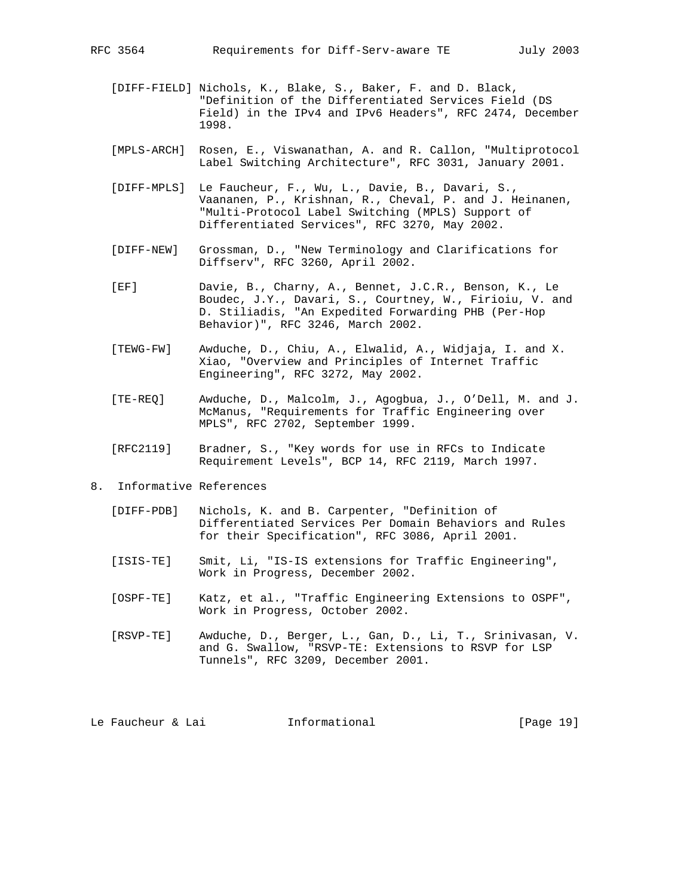- [DIFF-FIELD] Nichols, K., Blake, S., Baker, F. and D. Black, "Definition of the Differentiated Services Field (DS Field) in the IPv4 and IPv6 Headers", RFC 2474, December 1998.
- [MPLS-ARCH] Rosen, E., Viswanathan, A. and R. Callon, "Multiprotocol Label Switching Architecture", RFC 3031, January 2001.
- [DIFF-MPLS] Le Faucheur, F., Wu, L., Davie, B., Davari, S., Vaananen, P., Krishnan, R., Cheval, P. and J. Heinanen, "Multi-Protocol Label Switching (MPLS) Support of Differentiated Services", RFC 3270, May 2002.
- [DIFF-NEW] Grossman, D., "New Terminology and Clarifications for Diffserv", RFC 3260, April 2002.
- [EF] Davie, B., Charny, A., Bennet, J.C.R., Benson, K., Le Boudec, J.Y., Davari, S., Courtney, W., Firioiu, V. and D. Stiliadis, "An Expedited Forwarding PHB (Per-Hop Behavior)", RFC 3246, March 2002.
- [TEWG-FW] Awduche, D., Chiu, A., Elwalid, A., Widjaja, I. and X. Xiao, "Overview and Principles of Internet Traffic Engineering", RFC 3272, May 2002.
- [TE-REQ] Awduche, D., Malcolm, J., Agogbua, J., O'Dell, M. and J. McManus, "Requirements for Traffic Engineering over MPLS", RFC 2702, September 1999.
- [RFC2119] Bradner, S., "Key words for use in RFCs to Indicate Requirement Levels", BCP 14, RFC 2119, March 1997.
- 8. Informative References
	- [DIFF-PDB] Nichols, K. and B. Carpenter, "Definition of Differentiated Services Per Domain Behaviors and Rules for their Specification", RFC 3086, April 2001.
	- [ISIS-TE] Smit, Li, "IS-IS extensions for Traffic Engineering", Work in Progress, December 2002.
	- [OSPF-TE] Katz, et al., "Traffic Engineering Extensions to OSPF", Work in Progress, October 2002.
	- [RSVP-TE] Awduche, D., Berger, L., Gan, D., Li, T., Srinivasan, V. and G. Swallow, "RSVP-TE: Extensions to RSVP for LSP Tunnels", RFC 3209, December 2001.

Le Faucheur & Lai **Informational** [Page 19]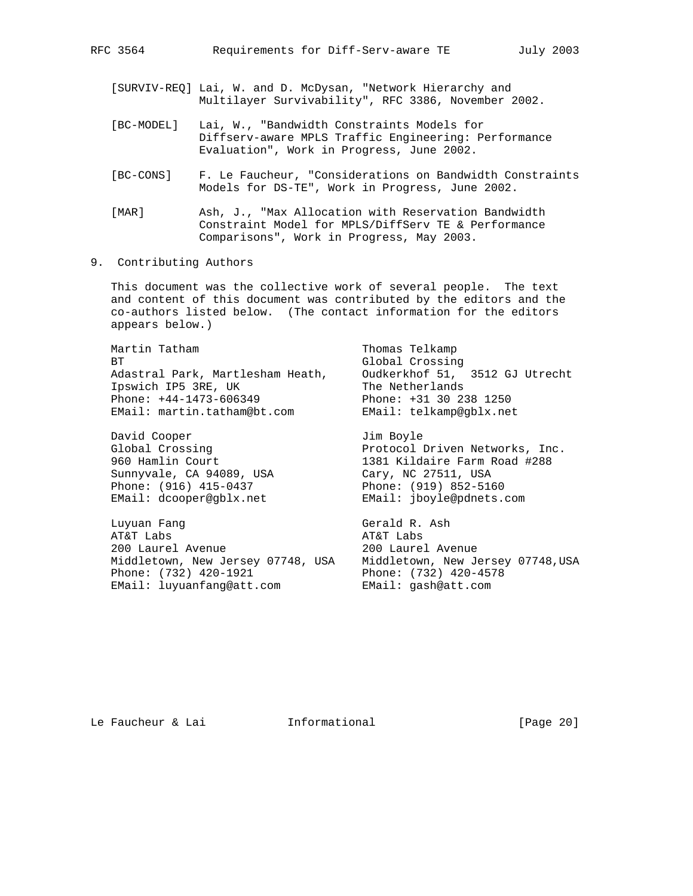[SURVIV-REQ] Lai, W. and D. McDysan, "Network Hierarchy and Multilayer Survivability", RFC 3386, November 2002.

- [BC-MODEL] Lai, W., "Bandwidth Constraints Models for Diffserv-aware MPLS Traffic Engineering: Performance Evaluation", Work in Progress, June 2002.
- [BC-CONS] F. Le Faucheur, "Considerations on Bandwidth Constraints Models for DS-TE", Work in Progress, June 2002.

 [MAR] Ash, J., "Max Allocation with Reservation Bandwidth Constraint Model for MPLS/DiffServ TE & Performance Comparisons", Work in Progress, May 2003.

9. Contributing Authors

 This document was the collective work of several people. The text and content of this document was contributed by the editors and the co-authors listed below. (The contact information for the editors appears below.)

Martin Tatham Thomas Telkamp BT Global Crossing Adastral Park, Martlesham Heath, Oudkerkhof 51, 3512 GJ Utrecht<br>Ipswich IP5 3RE, UK The Netherlands Ipswich IP5 3RE, UK The Netherlands Phone: +44-1473-606349 Phone: +31 30 238 1250 EMail: martin.tatham@bt.com EMail: telkamp@gblx.net

David Cooper<br>Global Crossing The Section of Protocol Driven Networks, Inc. Sunnyvale, CA 94089, USA Cary, NC 27511, USA Phone: (916) 415-0437 Phone: (919) 852-5160 EMail: dcooper@gblx.net EMail: jboyle@pdnets.com

 Luyuan Fang Gerald R. Ash AT&T Labs **AT&T** Labs 200 Laurel Avenue 200 Laurel Avenue Middletown, New Jersey 07748, USA Middletown, New Jersey 07748,USA Phone: (732) 420-1921 Phone: (732) 420-4578 EMail: luyuanfang@att.com EMail: gash@att.com

Global Crossing The Resolution of Protocol Driven Networks, Inc. 960 Hamlin Court 1381 Kildaire Farm Road #288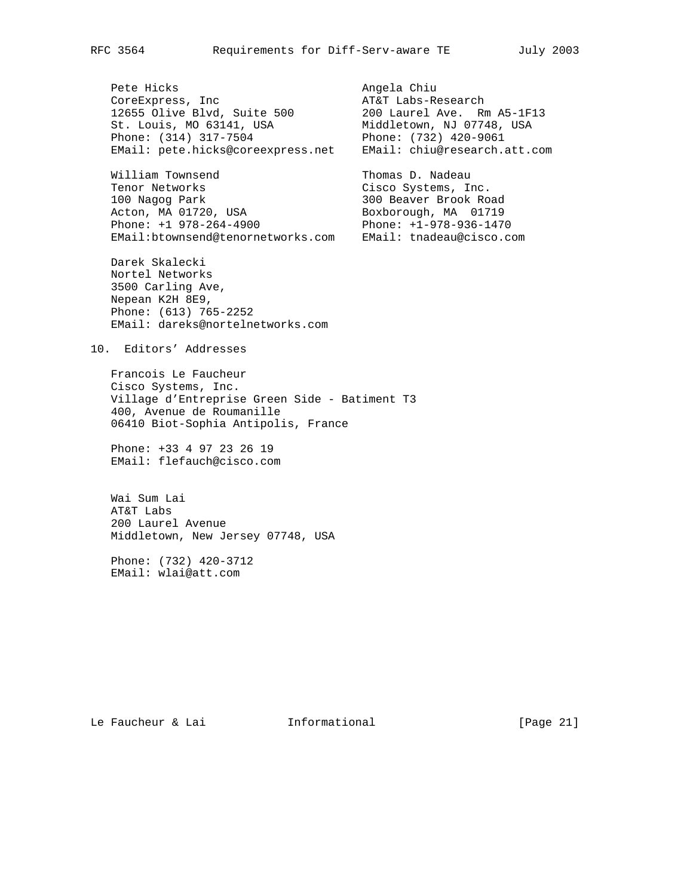Pete Hicks and the Chiu angela Chiu CoreExpress, Inc and AT&T Labs-Research 12655 Olive Blvd, Suite 500 200 Laurel Ave. Rm A5-1F13 St. Louis, MO 63141, USA Middletown, NJ 07748, USA Phone: (314) 317-7504 Phone: (732) 420-9061

William Townsend Thomas D. Nadeau Tenor Networks Cisco Systems, Inc. 100 Nagog Park 300 Beaver Brook Road Acton, MA 01720, USA Boxborough, MA 01719 Phone: +1 978-264-4900 Phone: +1-978-936-1470 EMail:btownsend@tenornetworks.com EMail: tnadeau@cisco.com

 Darek Skalecki Nortel Networks 3500 Carling Ave, Nepean K2H 8E9, Phone: (613) 765-2252 EMail: dareks@nortelnetworks.com

EMail: pete.hicks@coreexpress.net EMail: chiu@research.att.com

### 10. Editors' Addresses

 Francois Le Faucheur Cisco Systems, Inc. Village d'Entreprise Green Side - Batiment T3 400, Avenue de Roumanille 06410 Biot-Sophia Antipolis, France

 Phone: +33 4 97 23 26 19 EMail: flefauch@cisco.com

 Wai Sum Lai AT&T Labs 200 Laurel Avenue Middletown, New Jersey 07748, USA

 Phone: (732) 420-3712 EMail: wlai@att.com

Le Faucheur & Lai **Informational** [Page 21]